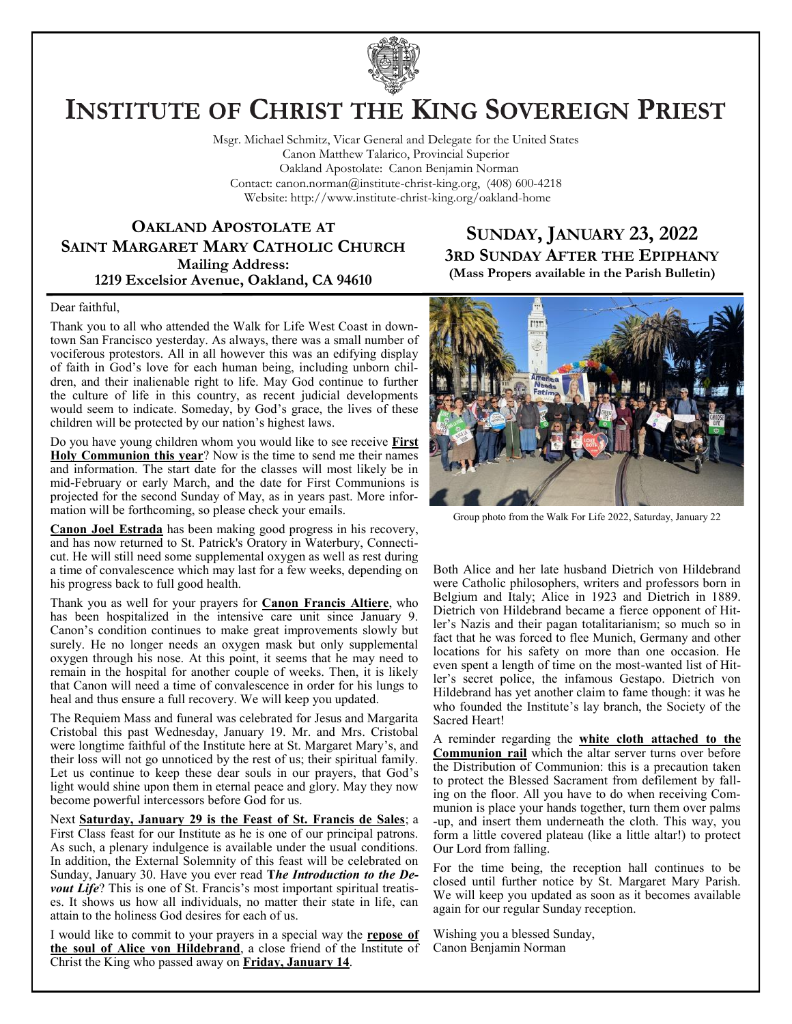

# **INSTITUTE OF CHRIST THE KING SOVEREIGN PRIEST**

Msgr. Michael Schmitz, Vicar General and Delegate for the United States Canon Matthew Talarico, Provincial Superior Oakland Apostolate: Canon Benjamin Norman Contact: canon.norman@institute-christ-king.org, (408) 600-4218 Website: http://www.institute-christ-king.org/oakland-home

# **OAKLAND APOSTOLATE AT SAINT MARGARET MARY CATHOLIC CHURCH Mailing Address: 1219 Excelsior Avenue, Oakland, CA 94610**

# **SUNDAY, JANUARY 23, 2022 3RD SUNDAY AFTER THE EPIPHANY (Mass Propers available in the Parish Bulletin)**

#### Dear faithful,

Thank you to all who attended the Walk for Life West Coast in downtown San Francisco yesterday. As always, there was a small number of vociferous protestors. All in all however this was an edifying display of faith in God's love for each human being, including unborn children, and their inalienable right to life. May God continue to further the culture of life in this country, as recent judicial developments would seem to indicate. Someday, by God's grace, the lives of these children will be protected by our nation's highest laws.

Do you have young children whom you would like to see receive **First Holy Communion this year**? Now is the time to send me their names and information. The start date for the classes will most likely be in mid-February or early March, and the date for First Communions is projected for the second Sunday of May, as in years past. More information will be forthcoming, so please check your emails.

**Canon Joel Estrada** has been making good progress in his recovery, and has now returned to St. Patrick's Oratory in Waterbury, Connecticut. He will still need some supplemental oxygen as well as rest during a time of convalescence which may last for a few weeks, depending on his progress back to full good health.

Thank you as well for your prayers for **Canon Francis Altiere**, who has been hospitalized in the intensive care unit since January 9. Canon's condition continues to make great improvements slowly but surely. He no longer needs an oxygen mask but only supplemental oxygen through his nose. At this point, it seems that he may need to remain in the hospital for another couple of weeks. Then, it is likely that Canon will need a time of convalescence in order for his lungs to heal and thus ensure a full recovery. We will keep you updated.

The Requiem Mass and funeral was celebrated for Jesus and Margarita Cristobal this past Wednesday, January 19. Mr. and Mrs. Cristobal were longtime faithful of the Institute here at St. Margaret Mary's, and their loss will not go unnoticed by the rest of us; their spiritual family. Let us continue to keep these dear souls in our prayers, that God's light would shine upon them in eternal peace and glory. May they now become powerful intercessors before God for us.

Next **Saturday, January 29 is the Feast of St. Francis de Sales**; a First Class feast for our Institute as he is one of our principal patrons. As such, a plenary indulgence is available under the usual conditions. In addition, the External Solemnity of this feast will be celebrated on Sunday, January 30. Have you ever read **T***he Introduction to the Devout Life*? This is one of St. Francis's most important spiritual treatises. It shows us how all individuals, no matter their state in life, can attain to the holiness God desires for each of us.

I would like to commit to your prayers in a special way the **repose of the soul of Alice von Hildebrand**, a close friend of the Institute of Christ the King who passed away on **Friday, January 14**.



Group photo from the Walk For Life 2022, Saturday, January 22

Both Alice and her late husband Dietrich von Hildebrand were Catholic philosophers, writers and professors born in Belgium and Italy; Alice in 1923 and Dietrich in 1889. Dietrich von Hildebrand became a fierce opponent of Hitler's Nazis and their pagan totalitarianism; so much so in fact that he was forced to flee Munich, Germany and other locations for his safety on more than one occasion. He even spent a length of time on the most-wanted list of Hitler's secret police, the infamous Gestapo. Dietrich von Hildebrand has yet another claim to fame though: it was he who founded the Institute's lay branch, the Society of the Sacred Heart!

A reminder regarding the **white cloth attached to the Communion rail** which the altar server turns over before the Distribution of Communion: this is a precaution taken to protect the Blessed Sacrament from defilement by falling on the floor. All you have to do when receiving Communion is place your hands together, turn them over palms -up, and insert them underneath the cloth. This way, you form a little covered plateau (like a little altar!) to protect Our Lord from falling.

For the time being, the reception hall continues to be closed until further notice by St. Margaret Mary Parish. We will keep you updated as soon as it becomes available again for our regular Sunday reception.

Wishing you a blessed Sunday, Canon Benjamin Norman